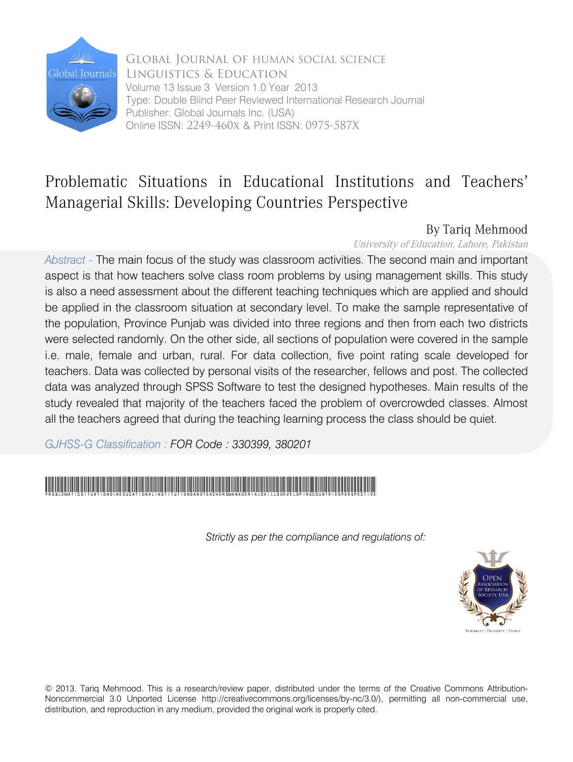

Global Journal of HUMAN SOCIAL SCIENCE Linguistics & Education Volume 13 Issue 3 Version 1.0 Year 2013 Type: Double Blind Peer Reviewed International Research Journal Publisher: Global Journals Inc. (USA) Online ISSN: 2249-460x & Print ISSN: 0975-587X

## Problematic Situations in Educational Institutions and Teachers' Managerial Skills: Developing Countries Perspective

### By Tariq Mehmood

University of Education, Lahore, Pakistan

*Abstract -* The main focus of the study was classroom activities. The second main and important aspect is that how teachers solve class room problems by using management skills. This study is also a need assessment about the different teaching techniques which are applied and should be applied in the classroom situation at secondary level. To make the sample representative of the population, Province Punjab was divided into three regions and then from each two districts were selected randomly. On the other side, all sections of population were covered in the sample i.e. male, female and urban, rural. For data collection, five point rating scale developed for teachers. Data was collected by personal visits of the researcher, fellows and post. The collected data was analyzed through SPSS Software to test the designed hypotheses. Main results of the study revealed that majority of the teachers faced the problem of overcrowded classes. Almost all the teachers agreed that during the teaching learning process the class should be quiet.

*GJHSS-G Classification : FOR Code : 330399, 380201*



*Strictly as per the compliance and regulations of:*



© 2013. Tariq Mehmood. This is a research/review paper, distributed under the terms of the Creative Commons Attribution-Noncommercial 3.0 Unported License http://creativecommons.org/licenses/by-nc/3.0/), permitting all non-commercial use, distribution, and reproduction in any medium, provided the original work is properly cited.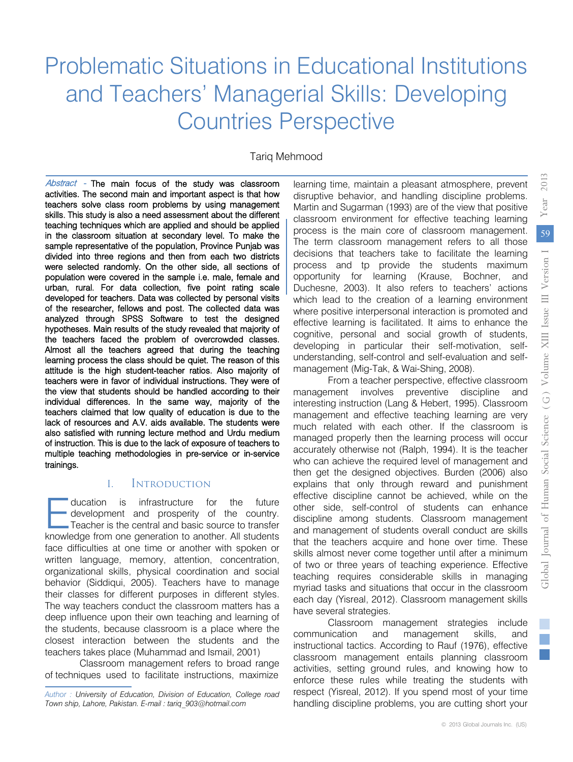Tariq Mehmood

Abstract - The main focus of the study was classroom activities. The second main and important aspect is that how teachers solve class room problems by using management skills. This study is also a need assessment about the different teaching techniques which are applied and should be applied in the classroom situation at secondary level. To make the sample representative of the population, Province Punjab was divided into three regions and then from each two districts were selected randomly. On the other side, all sections of population were covered in the sample i.e. male, female and urban, rural. For data collection, five point rating scale developed for teachers. Data was collected by personal visits of the researcher, fellows and post. The collected data was analyzed through SPSS Software to test the designed hypotheses. Main results of the study revealed that majority of the teachers faced the problem of overcrowded classes. Almost all the teachers agreed that during the teaching learning process the class should be quiet. The reason of this attitude is the high student-teacher ratios. Also majority of teachers were in favor of individual instructions. They were of the view that students should be handled according to their individual differences. In the same way, majority of the teachers claimed that low quality of education is due to the lack of resources and A.V. aids available. The students were also satisfied with running lecture method and Urdu medium of instruction. This is due to the lack of exposure of teachers to multiple teaching methodologies in pre-service or in-service trainings.

#### I. Introduction

ducation is infrastructure for the future - development and prosperity of the country. Teacher is the central and basic source to transfer ducation is infrastructure for the future<br>development and prosperity of the country.<br>Teacher is the central and basic source to transfer<br>knowledge from one generation to another. All students face difficulties at one time or another with spoken or written language, memory, attention, concentration, organizational skills, physical coordination and social behavior (Siddiqui, 2005). Teachers have to manage their classes for different purposes in different styles. The way teachers conduct the classroom matters has a deep influence upon their own teaching and learning of the students, because classroom is a place where the closest interaction between the students and the teachers takes place (Muhammad and Ismail, 2001)

Classroom management refers to broad range of techniques used to facilitate instructions, maximize

learning time, maintain a pleasant atmosphere, prevent disruptive behavior, and handling discipline problems. Martin and Sugarman (1993) are of the view that positive classroom environment for effective teaching learning process is the main core of classroom management. The term classroom management refers to all those decisions that teachers take to facilitate the learning process and tp provide the students maximum opportunity for learning (Krause, Bochner, and Duchesne, 2003). It also refers to teachers' actions which lead to the creation of a learning environment where positive interpersonal interaction is promoted and effective learning is facilitated. It aims to enhance the cognitive, personal and social growth of students, developing in particular their self-motivation, selfunderstanding, self-control and self-evaluation and selfmanagement (Mig-Tak, & Wai-Shing, 2008).

From a teacher perspective, effective classroom management involves preventive discipline and interesting instruction (Lang & Hebert, 1995). Classroom management and effective teaching learning are very much related with each other. If the classroom is managed properly then the learning process will occur accurately otherwise not (Ralph, 1994). It is the teacher who can achieve the required level of management and then get the designed objectives. Burden (2006) also explains that only through reward and punishment effective discipline cannot be achieved, while on the other side, self-control of students can enhance discipline among students. Classroom management and management of students overall conduct are skills that the teachers acquire and hone over time. These skills almost never come together until after a minimum of two or three years of teaching experience. Effective teaching requires considerable skills in managing myriad tasks and situations that occur in the classroom each day (Yisreal, 2012). Classroom management skills have several strategies.

Classroom management strategies include communication and management skills, and instructional tactics. According to Rauf (1976), effective classroom management entails planning classroom activities, setting ground rules, and knowing how to enforce these rules while treating the students with respect (Yisreal, 2012). If you spend most of your time handling discipline problems, you are cutting short your

2013

*Author : University of Education, Division of Education, College road Town ship, Lahore, Pakistan. E-mail : tariq\_903@hotmail.com*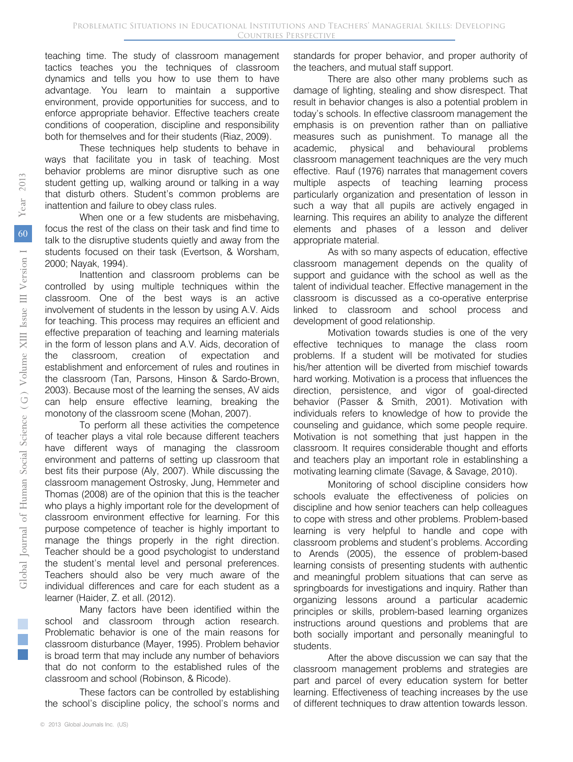teaching time. The study of classroom management tactics teaches you the techniques of classroom dynamics and tells you how to use them to have advantage. You learn to maintain a supportive environment, provide opportunities for success, and to enforce appropriate behavior. Effective teachers create conditions of cooperation, discipline and responsibility both for themselves and for their students (Riaz, 2009).

These techniques help students to behave in ways that facilitate you in task of teaching. Most behavior problems are minor disruptive such as one student getting up, walking around or talking in a way that disturb others. Student's common problems are inattention and failure to obey class rules.

When one or a few students are misbehaving, focus the rest of the class on their task and find time to talk to the disruptive students quietly and away from the students focused on their task (Evertson, & Worsham, 2000; Nayak, 1994).

Inattention and classroom problems can be controlled by using multiple techniques within the classroom. One of the best ways is an active involvement of students in the lesson by using A.V. Aids for teaching. This process may requires an efficient and effective preparation of teaching and learning materials in the form of lesson plans and A.V. Aids, decoration of the classroom, creation of expectation and establishment and enforcement of rules and routines in the classroom (Tan, Parsons, Hinson & Sardo-Brown, 2003). Because most of the learning the senses, AV aids can help ensure effective learning, breaking the monotony of the classroom scene (Mohan, 2007).

To perform all these activities the competence of teacher plays a vital role because different teachers have different ways of managing the classroom environment and patterns of setting up classroom that best fits their purpose (Aly, 2007). While discussing the classroom management Ostrosky, Jung, Hemmeter and Thomas (2008) are of the opinion that this is the teacher who plays a highly important role for the development of classroom environment effective for learning. For this purpose competence of teacher is highly important to manage the things properly in the right direction. Teacher should be a good psychologist to understand the student's mental level and personal preferences. Teachers should also be very much aware of the individual differences and care for each student as a learner (Haider, Z. et all. (2012).

Many factors have been identified within the school and classroom through action research. Problematic behavior is one of the main reasons for classroom disturbance (Mayer, 1995). Problem behavior is broad term that may include any number of behaviors that do not conform to the established rules of the classroom and school (Robinson, & Ricode).

These factors can be controlled by establishing the school's discipline policy, the school's norms and

standards for proper behavior, and proper authority of the teachers, and mutual staff support.

There are also other many problems such as damage of lighting, stealing and show disrespect. That result in behavior changes is also a potential problem in today's schools. In effective classroom management the emphasis is on prevention rather than on palliative measures such as punishment. To manage all the academic, physical and behavioural problems classroom management teachniques are the very much effective. Rauf (1976) narrates that management covers multiple aspects of teaching learning process particularly organization and presentation of lesson in such a way that all pupils are actively engaged in learning. This requires an ability to analyze the different elements and phases of a lesson and deliver appropriate material.

As with so many aspects of education, effective classroom management depends on the quality of support and guidance with the school as well as the talent of individual teacher. Effective management in the classroom is discussed as a co-operative enterprise linked to classroom and school process and development of good relationship.

Motivation towards studies is one of the very effective techniques to manage the class room problems. If a student will be motivated for studies his/her attention will be diverted from mischief towards hard working. Motivation is a process that influences the direction, persistence, and vigor of goal-directed behavior (Passer & Smith, 2001). Motivation with individuals refers to knowledge of how to provide the counseling and guidance, which some people require. Motivation is not something that just happen in the classroom. It requires considerable thought and efforts and teachers play an important role in establinshing a motivating learning climate (Savage, & Savage, 2010).

Monitoring of school discipline considers how schools evaluate the effectiveness of policies on discipline and how senior teachers can help colleagues to cope with stress and other problems. Problem-based learning is very helpful to handle and cope with classroom problems and student's problems. According to Arends (2005), the essence of problem-based learning consists of presenting students with authentic and meaningful problem situations that can serve as springboards for investigations and inquiry. Rather than organizing lessons around a particular academic principles or skills, problem-based learning organizes instructions around questions and problems that are both socially important and personally meaningful to students.

After the above discussion we can say that the classroom management problems and strategies are part and parcel of every education system for better learning. Effectiveness of teaching increases by the use of different techniques to draw attention towards lesson.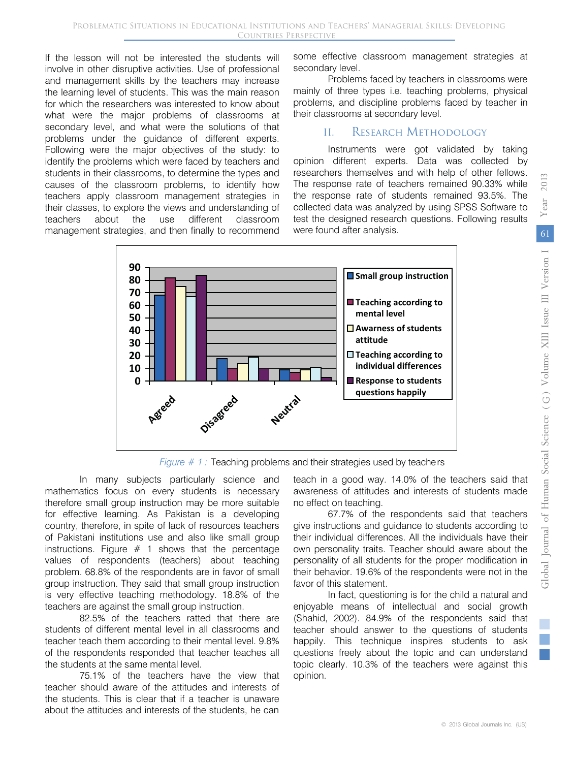If the lesson will not be interested the students will involve in other disruptive activities. Use of professional and management skills by the teachers may increase the learning level of students. This was the main reason for which the researchers was interested to know about what were the major problems of classrooms at secondary level, and what were the solutions of that problems under the guidance of different experts. Following were the major objectives of the study: to identify the problems which were faced by teachers and students in their classrooms, to determine the types and causes of the classroom problems, to identify how teachers apply classroom management strategies in their classes, to explore the views and understanding of teachers about the use different classroom management strategies, and then finally to recommend some effective classroom management strategies at secondary level.

Problems faced by teachers in classrooms were mainly of three types i.e. teaching problems, physical problems, and discipline problems faced by teacher in their classrooms at secondary level.

#### II. Research Methodology

Instruments were got validated by taking opinion different experts. Data was collected by researchers themselves and with help of other fellows. The response rate of teachers remained 90.33% while the response rate of students remained 93.5%. The collected data was analyzed by using SPSS Software to test the designed research questions. Following results were found after analysis.



*Figure # 1:* Teaching problems and their strategies used by teachers

In many subjects particularly science and mathematics focus on every students is necessary therefore small group instruction may be more suitable for effective learning. As Pakistan is a developing country, therefore, in spite of lack of resources teachers of Pakistani institutions use and also like small group instructions. Figure  $# 1$  shows that the percentage values of respondents (teachers) about teaching problem. 68.8% of the respondents are in favor of small group instruction. They said that small group instruction is very effective teaching methodology. 18.8% of the teachers are against the small group instruction.

82.5% of the teachers ratted that there are students of different mental level in all classrooms and teacher teach them according to their mental level. 9.8% of the respondents responded that teacher teaches all the students at the same mental level.

75.1% of the teachers have the view that teacher should aware of the attitudes and interests of the students. This is clear that if a teacher is unaware about the attitudes and interests of the students, he can

teach in a good way. 14.0% of the teachers said that awareness of attitudes and interests of students made no effect on teaching.

67.7% of the respondents said that teachers give instructions and guidance to students according to their individual differences. All the individuals have their own personality traits. Teacher should aware about the personality of all students for the proper modification in their behavior. 19.6% of the respondents were not in the favor of this statement.

In fact, questioning is for the child a natural and enjoyable means of intellectual and social growth (Shahid, 2002). 84.9% of the respondents said that teacher should answer to the questions of students happily. This technique inspires students to ask questions freely about the topic and can understand topic clearly. 10.3% of the teachers were against this opinion.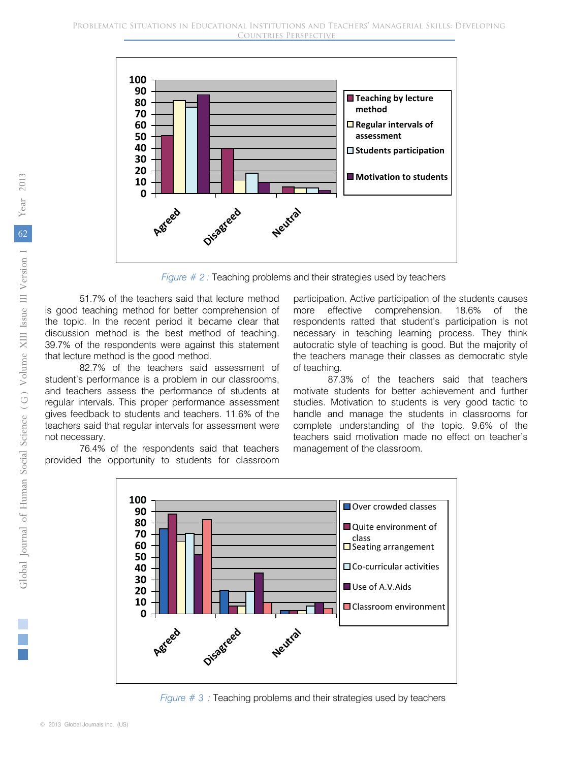

*Figure # 2 : Teaching problems and their strategies used by teachers* 

51.7% of the teachers said that lecture method is good teaching method for better comprehension of the topic. In the recent period it became clear that discussion method is the best method of teaching. 39.7% of the respondents were against this statement that lecture method is the good method.

82.7% of the teachers said assessment of student's performance is a problem in our classrooms, and teachers assess the performance of students at regular intervals. This proper performance assessment gives feedback to students and teachers. 11.6% of the teachers said that regular intervals for assessment were not necessary.

76.4% of the respondents said that teachers provided the opportunity to students for classroom



87.3% of the teachers said that teachers motivate students for better achievement and further studies. Motivation to students is very good tactic to handle and manage the students in classrooms for complete understanding of the topic. 9.6% of the teachers said motivation made no effect on teacher's management of the classroom.



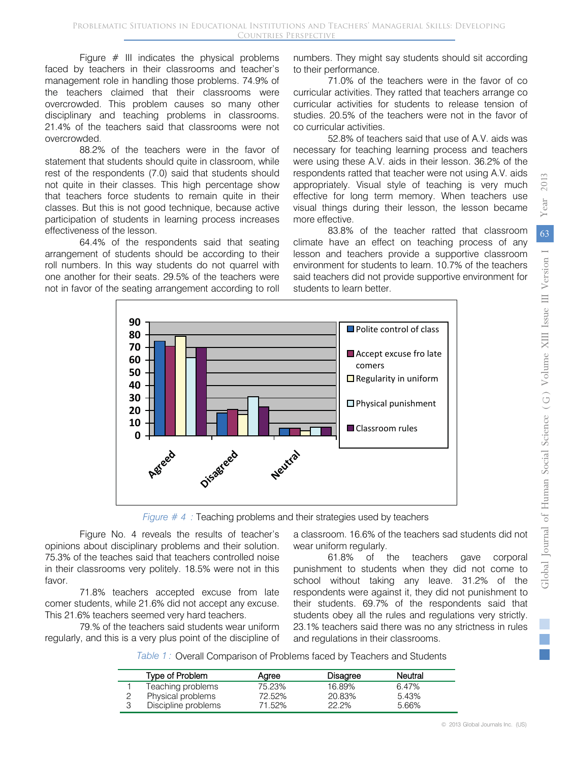2013

Figure  $#$  III indicates the physical problems faced by teachers in their classrooms and teacher's management role in handling those problems. 74.9% of the teachers claimed that their classrooms were overcrowded. This problem causes so many other disciplinary and teaching problems in classrooms. 21.4% of the teachers said that classrooms were not overcrowded.

88.2% of the teachers were in the favor of statement that students should quite in classroom, while rest of the respondents (7.0) said that students should not quite in their classes. This high percentage show that teachers force students to remain quite in their classes. But this is not good technique, because active participation of students in learning process increases effectiveness of the lesson.

64.4% of the respondents said that seating arrangement of students should be according to their roll numbers. In this way students do not quarrel with one another for their seats. 29.5% of the teachers were not in favor of the seating arrangement according to roll

numbers. They might say students should sit according to their performance.

 71.0% of the teachers were in the favor of co curricular activities. They ratted that teachers arrange co curricular activities for students to release tension of studies. 20.5% of the teachers were not in the favor of co curricular activities.

52.8% of teachers said that use of A.V. aids was necessary for teaching learning process and teachers were using these A.V. aids in their lesson. 36.2% of the respondents ratted that teacher were not using A.V. aids appropriately. Visual style of teaching is very much effective for long term memory. When teachers use visual things during their lesson, the lesson became more effective.

83.8% of the teacher ratted that classroom climate have an effect on teaching process of any lesson and teachers provide a supportive classroom environment for students to learn. 10.7% of the teachers said teachers did not provide supportive environment for students to learn better.



*Figure # 4 :* Teaching problems and their strategies used by teachers

Figure No. 4 reveals the results of teacher's opinions about disciplinary problems and their solution. 75.3% of the teaches said that teachers controlled noise in their classrooms very politely. 18.5% were not in this favor.

71.8% teachers accepted excuse from late comer students, while 21.6% did not accept any excuse. This 21.6% teachers seemed very hard teachers.

79.% of the teachers said students wear uniform regularly, and this is a very plus point of the discipline of

a classroom. 16.6% of the teachers sad students did not wear uniform regularly.

61.8% of the teachers gave corporal punishment to students when they did not come to school without taking any leave. 31.2% of the respondents were against it, they did not punishment to their students. 69.7% of the respondents said that students obey all the rules and regulations very strictly. 23.1% teachers said there was no any strictness in rules and regulations in their classrooms.

Table 1: Overall Comparison of Problems faced by Teachers and Students

| Type of Problem     | Aaree  | <b>Disagree</b> | Neutral |  |
|---------------------|--------|-----------------|---------|--|
| Teaching problems   | 75.23% | 16.89%          | 6.47%   |  |
| Physical problems   | 72.52% | 20.83%          | 5.43%   |  |
| Discipline problems | 71.52% | 22.2%           | 5.66%   |  |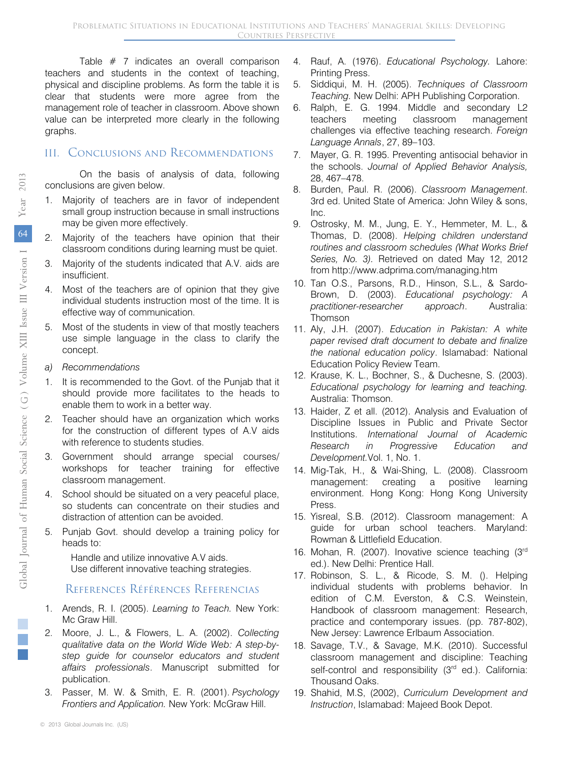Table # 7 indicates an overall comparison teachers and students in the context of teaching, physical and discipline problems. As form the table it is clear that students were more agree from the management role of teacher in classroom. Above shown value can be interpreted more clearly in the following graphs.

#### III. Conclusions and Recommendations

On the basis of analysis of data, following conclusions are given below.

- 1. Majority of teachers are in favor of independent small group instruction because in small instructions may be given more effectively.
- 2. Majority of the teachers have opinion that their classroom conditions during learning must be quiet.
- Majority of the students indicated that A.V. aids are insufficient.
- 4. Most of the teachers are of opinion that they give individual students instruction most of the time. It is effective way of communication.
- Most of the students in view of that mostly teachers use simple language in the class to clarify the concept.
- *a) Recommendations*
- 1. It is recommended to the Govt. of the Punjab that it should provide more facilitates to the heads to enable them to work in a better way.
- 2. Teacher should have an organization which works for the construction of different types of A.V aids with reference to students studies.
- Government should arrange special courses/ workshops for teacher training for effective classroom management.
- 4. School should be situated on a very peaceful place, so students can concentrate on their studies and distraction of attention can be avoided.
- 5. Punjab Govt. should develop a training policy for heads to:

Handle and utilize innovative A.V aids. Use different innovative teaching strategies.

#### References Références Referencias

- 1. Arends, R. I. (2005). *Learning to Teach.* New York: Mc Graw Hill.
- *qualitative data on the World Wide Web: A step-by-*2. Moore, J. L., & Flowers, L. A. (2002). *Collecting step guide for counselor educators and student affairs professionals*. Manuscript submitted for publication.
- 3. Passer, M. W. & Smith, E. R. (2001). *Psychology Frontiers and Application.* New York: McGraw Hill.
- 4. Rauf, A. (1976). *Educational Psychology.* Lahore: Printing Press.
- 5. Siddiqui, M. H. (2005). *Techniques of Classroom Teaching.* New Delhi: APH Publishing Corporation.
- 6. Ralph, E. G. 1994. Middle and secondary L2 challenges via effective teaching research. *Foreign* teachers meeting classroom management *Language Annals*, 27, 89–103.
- 7. Mayer, G. R. 1995. Preventing antisocial behavior in the schools. *Journal of Applied Behavior Analysis,*  28, 467–478.
- Bardon, Tidal: The (2000). Orassicom Management.<br>3rd ed. United State of America: John Wiley & sons, 8. Burden, Paul. R. (2006). *Classroom Management*. Inc.
- Thomas, D. (2008). *Helping children understand*  from http://www.adprima.com/managing.htm 9. Ostrosky, M. M., Jung, E. Y., Hemmeter, M. L., & *routines and classroom schedules (What Works Brief Series, No. 3).* Retrieved on dated May 12, 2012
- 10. Tan O.S., Parsons, R.D., Hinson, S.L., & Sardo-Brown, D. (2003). *Educational psychology: A practitioner-researcher approach*. Australia: Thomson
- 11. Aly, J.H. (2007). *Education in Pakistan: A white paper revised draft document to debate and finalize the national education policy*. Islamabad: National Education Policy Review Team.
- 12. Krause, K. L., Bochner, S., & Duchesne, S. (2003). *Educational psychology for learning and teaching.*  Australia: Thomson.
- 13. Haider, Z et all. (2012). Analysis and Evaluation of Discipline Issues in Public and Private Sector Institutions. *International Journal of Academic Research in Progressive Education and Development.*Vol. 1, No. 1.
- 14. Mig-Tak, H., & Wai-Shing, L. (2008). Classroom management: creating a positive learning environment. Hong Kong: Hong Kong University Press.
- 15. Yisreal, S.B. (2012). Classroom management: A guide for urban school teachers. Maryland: Rowman & Littlefield Education.
- 16. Mohan, R. (2007). Inovative science teaching (3rd ed.). New Delhi: Prentice Hall.
- 17. Robinson, S. L., & Ricode, S. M. (). Helping individual students with problems behavior. In edition of C.M. Everston, & C.S. Weinstein, Handbook of classroom management: Research, practice and contemporary issues. (pp. 787-802), New Jersey: Lawrence Erlbaum Association.
- 18. Savage, T.V., & Savage, M.K. (2010). Successful classroom management and discipline: Teaching self-control and responsibility (3<sup>rd</sup> ed.). California: Thousand Oaks.
- 19. Shahid, M.S, (2002), *Curriculum Development and Instruction*, Islamabad: Majeed Book Depot.

2013

Year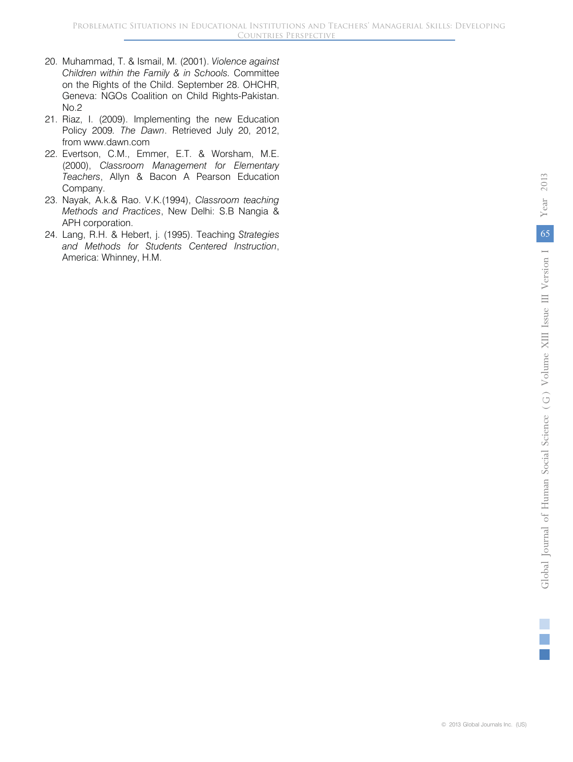- 20. Muhammad, T. & Ismail, M. (2001). *Violence against Children within the Family & in Schools.* Committee on the Rights of the Child. September 28. OHCHR, Geneva: NGOs Coalition on Child Rights-Pakistan. No.2
- 21. Riaz, I. (2009). Implementing the new Education Policy 2009*. The Dawn*. Retrieved July 20, 2012, from www.dawn.com
- 22. Evertson, C.M., Emmer, E.T. & Worsham, M.E. (2000), *Classroom Management for Elementary Teachers*, Allyn & Bacon A Pearson Education Company.
- 23. Nayak, A.k.& Rao. V.K.(1994), *Classroom teaching Methods and Practices*, New Delhi: S.B Nangia & APH corporation.
- 24. Lang, R.H. & Hebert, j. (1995). Teaching *Strategies and Methods for Students Centered Instruction*, America: Whinney, H.M.

2013